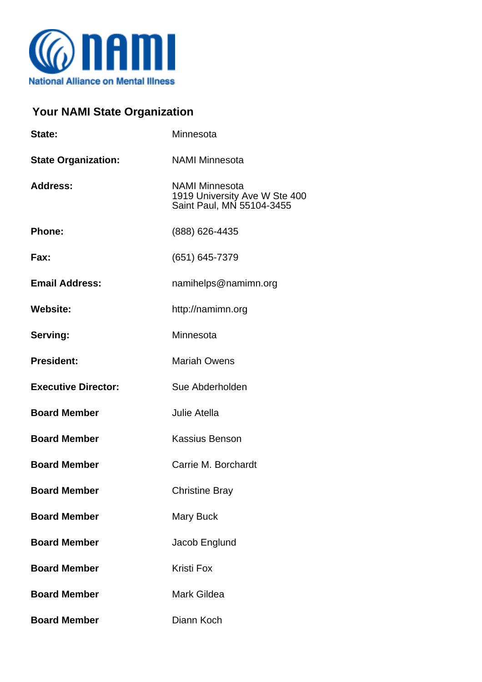

## **Your NAMI State Organization**

| State:                     | Minnesota                                                                           |
|----------------------------|-------------------------------------------------------------------------------------|
| <b>State Organization:</b> | <b>NAMI Minnesota</b>                                                               |
| <b>Address:</b>            | <b>NAMI Minnesota</b><br>1919 University Ave W Ste 400<br>Saint Paul, MN 55104-3455 |
| <b>Phone:</b>              | (888) 626-4435                                                                      |
| Fax:                       | (651) 645-7379                                                                      |
| <b>Email Address:</b>      | namihelps@namimn.org                                                                |
| <b>Website:</b>            | http://namimn.org                                                                   |
| Serving:                   | Minnesota                                                                           |
| <b>President:</b>          | <b>Mariah Owens</b>                                                                 |
| <b>Executive Director:</b> | Sue Abderholden                                                                     |
| <b>Board Member</b>        | Julie Atella                                                                        |
| <b>Board Member</b>        | <b>Kassius Benson</b>                                                               |
| <b>Board Member</b>        | Carrie M. Borchardt                                                                 |
| <b>Board Member</b>        | <b>Christine Bray</b>                                                               |
| <b>Board Member</b>        | <b>Mary Buck</b>                                                                    |
| <b>Board Member</b>        | Jacob Englund                                                                       |
| <b>Board Member</b>        | <b>Kristi Fox</b>                                                                   |
| <b>Board Member</b>        | <b>Mark Gildea</b>                                                                  |
| <b>Board Member</b>        | Diann Koch                                                                          |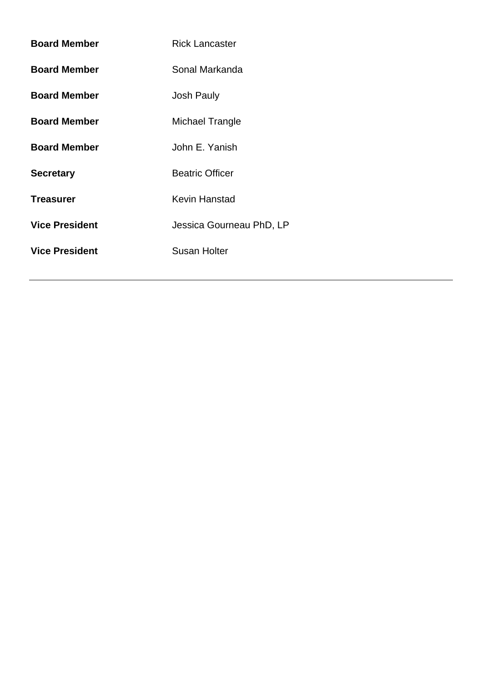| <b>Board Member</b>   | <b>Rick Lancaster</b>    |  |
|-----------------------|--------------------------|--|
| <b>Board Member</b>   | Sonal Markanda           |  |
| <b>Board Member</b>   | <b>Josh Pauly</b>        |  |
| <b>Board Member</b>   | Michael Trangle          |  |
| <b>Board Member</b>   | John E. Yanish           |  |
| <b>Secretary</b>      | <b>Beatric Officer</b>   |  |
| <b>Treasurer</b>      | Kevin Hanstad            |  |
| <b>Vice President</b> | Jessica Gourneau PhD, LP |  |
| <b>Vice President</b> | Susan Holter             |  |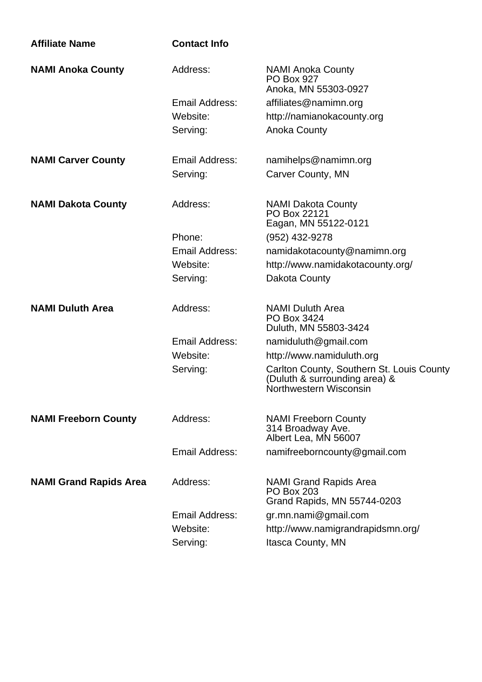| <b>Affiliate Name</b>         | <b>Contact Info</b> |                                                                                                      |
|-------------------------------|---------------------|------------------------------------------------------------------------------------------------------|
| <b>NAMI Anoka County</b>      | Address:            | <b>NAMI Anoka County</b><br><b>PO Box 927</b><br>Anoka, MN 55303-0927                                |
|                               | Email Address:      | affiliates@namimn.org                                                                                |
|                               | Website:            | http://namianokacounty.org                                                                           |
|                               | Serving:            | <b>Anoka County</b>                                                                                  |
| <b>NAMI Carver County</b>     | Email Address:      | namihelps@namimn.org                                                                                 |
|                               | Serving:            | <b>Carver County, MN</b>                                                                             |
| <b>NAMI Dakota County</b>     | Address:            | <b>NAMI Dakota County</b><br>PO Box 22121<br>Eagan, MN 55122-0121                                    |
|                               | Phone:              | (952) 432-9278                                                                                       |
|                               | Email Address:      | namidakotacounty@namimn.org                                                                          |
|                               | Website:            | http://www.namidakotacounty.org/                                                                     |
|                               | Serving:            | Dakota County                                                                                        |
| <b>NAMI Duluth Area</b>       | Address:            | <b>NAMI Duluth Area</b><br>PO Box 3424<br>Duluth, MN 55803-3424                                      |
|                               | Email Address:      | namiduluth@gmail.com                                                                                 |
|                               | Website:            | http://www.namiduluth.org                                                                            |
|                               | Serving:            | Carlton County, Southern St. Louis County<br>(Duluth & surrounding area) &<br>Northwestern Wisconsin |
| <b>NAMI Freeborn County</b>   | Address:            | <b>NAMI Freeborn County</b><br>314 Broadway Ave.<br>Albert Lea, MN 56007                             |
|                               | Email Address:      | namifreeborncounty@gmail.com                                                                         |
| <b>NAMI Grand Rapids Area</b> | Address:            | NAMI Grand Rapids Area<br><b>PO Box 203</b><br>Grand Rapids, MN 55744-0203                           |
|                               | Email Address:      | gr.mn.nami@gmail.com                                                                                 |
|                               | Website:            | http://www.namigrandrapidsmn.org/                                                                    |
|                               | Serving:            | Itasca County, MN                                                                                    |
|                               |                     |                                                                                                      |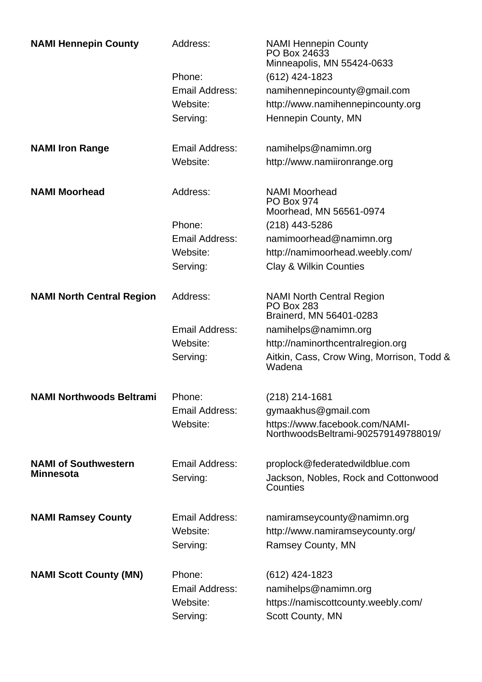| <b>NAMI Hennepin County</b>                     | Address:                                         | <b>NAMI Hennepin County</b><br>PO Box 24633<br>Minneapolis, MN 55424-0633                         |
|-------------------------------------------------|--------------------------------------------------|---------------------------------------------------------------------------------------------------|
|                                                 | Phone:                                           | (612) 424-1823                                                                                    |
|                                                 | <b>Email Address:</b>                            | namihennepincounty@gmail.com                                                                      |
|                                                 | Website:                                         | http://www.namihennepincounty.org                                                                 |
|                                                 | Serving:                                         | Hennepin County, MN                                                                               |
| <b>NAMI Iron Range</b>                          | Email Address:                                   | namihelps@namimn.org                                                                              |
|                                                 | Website:                                         | http://www.namiironrange.org                                                                      |
| <b>NAMI Moorhead</b>                            | Address:                                         | <b>NAMI Moorhead</b><br><b>PO Box 974</b><br>Moorhead, MN 56561-0974                              |
|                                                 | Phone:                                           | $(218)$ 443-5286                                                                                  |
|                                                 | Email Address:                                   | namimoorhead@namimn.org                                                                           |
|                                                 | Website:                                         | http://namimoorhead.weebly.com/                                                                   |
|                                                 | Serving:                                         | <b>Clay &amp; Wilkin Counties</b>                                                                 |
| <b>NAMI North Central Region</b>                | Address:                                         | <b>NAMI North Central Region</b><br><b>PO Box 283</b><br>Brainerd, MN 56401-0283                  |
|                                                 | <b>Email Address:</b>                            | namihelps@namimn.org                                                                              |
|                                                 | Website:                                         | http://naminorthcentralregion.org                                                                 |
|                                                 | Serving:                                         | Aitkin, Cass, Crow Wing, Morrison, Todd &<br>Wadena                                               |
| <b>NAMI Northwoods Beltrami</b>                 | Phone:                                           | $(218)$ 214-1681                                                                                  |
|                                                 | <b>Email Address:</b>                            | gymaakhus@gmail.com                                                                               |
|                                                 | Website:                                         | https://www.facebook.com/NAMI-<br>NorthwoodsBeltrami-902579149788019/                             |
| <b>NAMI of Southwestern</b><br><b>Minnesota</b> | Email Address:<br>Serving:                       | proplock@federatedwildblue.com<br>Jackson, Nobles, Rock and Cottonwood<br>Counties                |
| <b>NAMI Ramsey County</b>                       | Email Address:<br>Website:<br>Serving:           | namiramseycounty@namimn.org<br>http://www.namiramseycounty.org/<br>Ramsey County, MN              |
| <b>NAMI Scott County (MN)</b>                   | Phone:<br>Email Address:<br>Website:<br>Serving: | (612) 424-1823<br>namihelps@namimn.org<br>https://namiscottcounty.weebly.com/<br>Scott County, MN |